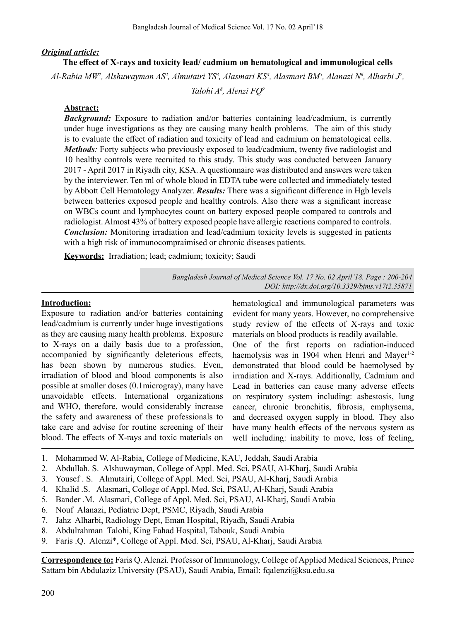# *Original article:*

### **The effect of X-rays and toxicity lead/ cadmium on hematological and immunological cells**

*Al-Rabia MW1 , Alshuwayman AS2 , Almutairi YS3 , Alasmari KS4 , Alasmari BM5 , Alanazi N6 , Alharbi J7 ,*

*Talohi A8 , Alenzi FQ9*

# **Abstract:**

*Background:* Exposure to radiation and/or batteries containing lead/cadmium, is currently under huge investigations as they are causing many health problems. The aim of this study is to evaluate the effect of radiation and toxicity of lead and cadmium on hematological cells. *Methods:* Forty subjects who previously exposed to lead/cadmium, twenty five radiologist and 10 healthy controls were recruited to this study. This study was conducted between January 2017 - April 2017 in Riyadh city, KSA. A questionnaire was distributed and answers were taken by the interviewer. Ten ml of whole blood in EDTA tube were collected and immediately tested by Abbott Cell Hematology Analyzer. *Results:* There was a significant difference in Hgb levels between batteries exposed people and healthy controls. Also there was a significant increase on WBCs count and lymphocytes count on battery exposed people compared to controls and radiologist. Almost 43% of battery exposed people have allergic reactions compared to controls. *Conclusion:* Monitoring irradiation and lead/cadmium toxicity levels is suggested in patients with a high risk of immunocompraimised or chronic diseases patients.

**Keywords:** Irradiation; lead; cadmium; toxicity; Saudi

*Bangladesh Journal of Medical Science Vol. 17 No. 02 April'18. Page : 200-204 DOI: http://dx.doi.org/10.3329/bjms.v17i2.35871* 

# **Introduction:**

Exposure to radiation and/or batteries containing lead/cadmium is currently under huge investigations as they are causing many health problems. Exposure to X-rays on a daily basis due to a profession, accompanied by significantly deleterious effects, has been shown by numerous studies. Even, irradiation of blood and blood components is also possible at smaller doses (0.1microgray), many have unavoidable effects. International organizations and WHO, therefore, would considerably increase the safety and awareness of these professionals to take care and advise for routine screening of their blood. The effects of X-rays and toxic materials on hematological and immunological parameters was evident for many years. However, no comprehensive study review of the effects of X-rays and toxic materials on blood products is readily available. One of the first reports on radiation-induced

haemolysis was in 1904 when Henri and Mayer $1-2$ demonstrated that blood could be haemolysed by irradiation and X-rays. Additionally, Cadmium and Lead in batteries can cause many adverse effects on respiratory system including: asbestosis, lung cancer, chronic bronchitis, fibrosis, emphysema, and decreased oxygen supply in blood. They also have many health effects of the nervous system as well including: inability to move, loss of feeling,

- 1. Mohammed W. Al-Rabia, College of Medicine, KAU, Jeddah, Saudi Arabia
- 2. Abdullah. S. Alshuwayman, College of Appl. Med. Sci, PSAU, Al-Kharj, Saudi Arabia
- 3. Yousef . S. Almutairi, College of Appl. Med. Sci, PSAU, Al-Kharj, Saudi Arabia
- 4. Khalid .S. Alasmari, College of Appl. Med. Sci, PSAU, Al-Kharj, Saudi Arabia
- 5. Bander .M. Alasmari, College of Appl. Med. Sci, PSAU, Al-Kharj, Saudi Arabia
- 6. Nouf Alanazi, Pediatric Dept, PSMC, Riyadh, Saudi Arabia
- 7. Jahz Alharbi, Radiology Dept, Eman Hospital, Riyadh, Saudi Arabia
- 8. Abdulrahman Talohi, King Fahad Hospital, Tabouk, Saudi Arabia
- 9. Faris .Q. Alenzi\*, College of Appl. Med. Sci, PSAU, Al-Kharj, Saudi Arabia

**Correspondence to:** Faris Q. Alenzi. Professor of Immunology, College of Applied Medical Sciences, Prince Sattam bin Abdulaziz University (PSAU), Saudi Arabia, Email: fqalenzi@ksu.edu.sa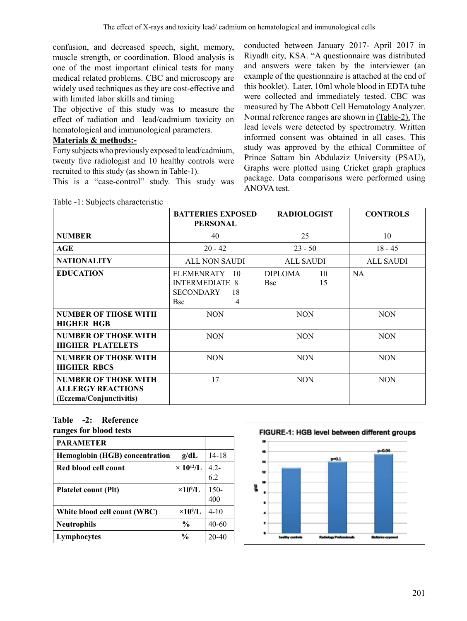confusion, and decreased speech, sight, memory, muscle strength, or coordination. Blood analysis is one of the most important clinical tests for many medical related problems. CBC and microscopy are widely used techniques as they are cost-effective and with limited labor skills and timing

The objective of this study was to measure the effect of radiation and lead/cadmium toxicity on hematological and immunological parameters.

# **Materials & methods:-**

Forty subjectswho previously exposed to lead/cadmium, twenty five radiologist and 10 healthy controls were recruited to this study (as shown in Table-1).

This is a "case-control" study. This study was

conducted between January 2017- April 2017 in Riyadh city, KSA. "A questionnaire was distributed and answers were taken by the interviewer (an example of the questionnaire is attached at the end of this booklet). Later, 10ml whole blood in EDTA tube were collected and immediately tested. CBC was measured by The Abbott Cell Hematology Analyzer. Normal reference ranges are shown in (Table-2). The lead levels were detected by spectrometry. Written informed consent was obtained in all cases. This study was approved by the ethical Committee of Prince Sattam bin Abdulaziz University (PSAU), Graphs were plotted using Cricket graph graphics package. Data comparisons were performed using ANOVA test.

|                                                                                    | <b>BATTERIES EXPOSED</b><br><b>RADIOLOGIST</b>                                      |                                          | <b>CONTROLS</b>  |
|------------------------------------------------------------------------------------|-------------------------------------------------------------------------------------|------------------------------------------|------------------|
|                                                                                    | <b>PERSONAL</b>                                                                     |                                          |                  |
| <b>NUMBER</b>                                                                      | 40                                                                                  | 25                                       | 10               |
| AGE                                                                                | $20 - 42$                                                                           | $23 - 50$                                | $18 - 45$        |
| <b>NATIONALITY</b>                                                                 | <b>ALL NON SAUDI</b>                                                                | <b>ALL SAUDI</b>                         | <b>ALL SAUDI</b> |
| <b>EDUCATION</b>                                                                   | ELEMENRATY 10<br><b>INTERMEDIATE 8</b><br><b>SECONDARY</b><br>18<br><b>Bsc</b><br>4 | <b>DIPLOMA</b><br>10<br>15<br><b>Bsc</b> | <b>NA</b>        |
| <b>NUMBER OF THOSE WITH</b><br><b>HIGHER HGB</b>                                   | <b>NON</b>                                                                          | <b>NON</b>                               | <b>NON</b>       |
| <b>NUMBER OF THOSE WITH</b><br><b>HIGHER PLATELETS</b>                             | <b>NON</b>                                                                          | <b>NON</b>                               | <b>NON</b>       |
| <b>NUMBER OF THOSE WITH</b><br><b>HIGHER RBCS</b>                                  | <b>NON</b>                                                                          | <b>NON</b>                               | <b>NON</b>       |
| <b>NUMBER OF THOSE WITH</b><br><b>ALLERGY REACTIONS</b><br>(Eczema/Conjunctivitis) | 17                                                                                  | <b>NON</b>                               | <b>NON</b>       |

Table -1: Subjects characteristic

# **Table -2: Reference**

|  | ranges for blood tests |  |  |  |
|--|------------------------|--|--|--|
|--|------------------------|--|--|--|

| <b>PARAMETER</b>                      |                    |             |
|---------------------------------------|--------------------|-------------|
| <b>Hemoglobin (HGB) concentration</b> | g/dL               | $14-18$     |
| Red blood cell count                  | $\times 10^{12}/L$ | $4.2 - 6.2$ |
|                                       |                    |             |
| <b>Platelet count (Plt)</b>           | $\times 10^9$ /L   | $150 -$     |
|                                       |                    | 400         |
| White blood cell count (WBC)          | $\times10^9$ /L    | $4 - 10$    |
| <b>Neutrophils</b>                    | $\frac{6}{9}$      | $40 - 60$   |
| Lymphocytes                           | $\frac{6}{9}$      | $20 - 40$   |

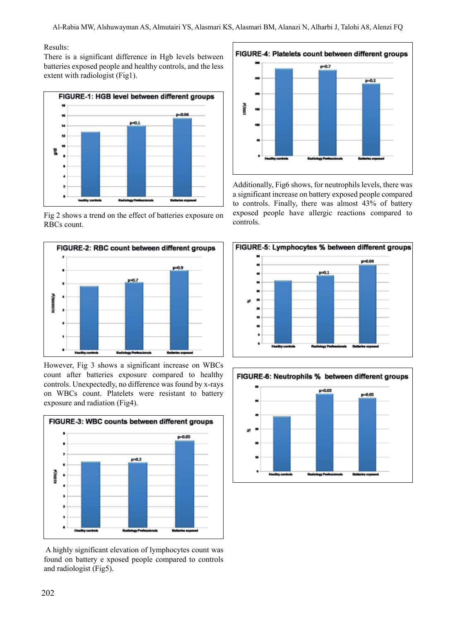#### Results:

There is a significant difference in Hgb levels between batteries exposed people and healthy controls, and the less extent with radiologist (Fig1).



Fig 2 shows a trend on the effect of batteries exposure on RBCs count.



However, Fig 3 shows a significant increase on WBCs count after batteries exposure compared to healthy controls. Unexpectedly, no difference was found by x-rays on WBCs count. Platelets were resistant to battery exposure and radiation (Fig4).



A highly significant elevation of lymphocytes count was found on battery e xposed people compared to controls and radiologist (Fig5).



Additionally, Fig6 shows, for neutrophils levels, there was a significant increase on battery exposed people compared to controls. Finally, there was almost 43% of battery exposed people have allergic reactions compared to controls.



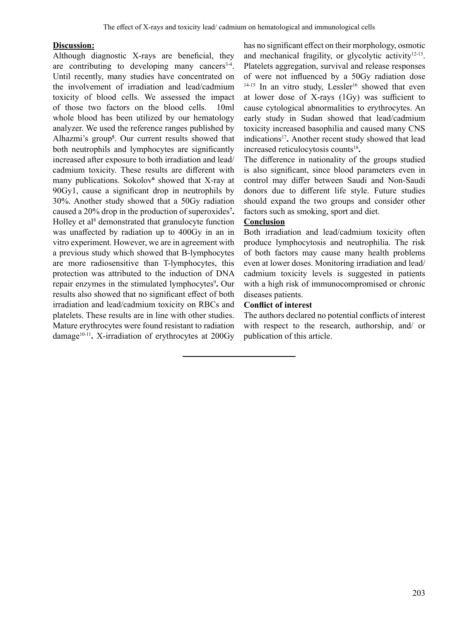### **Discussion:**

Although diagnostic X-rays are beneficial, they are contributing to developing many cancers<sup>3-4</sup>. Until recently, many studies have concentrated on the involvement of irradiation and lead/cadmium toxicity of blood cells. We assessed the impact of those two factors on the blood cells. 10ml whole blood has been utilized by our hematology analyzer. We used the reference ranges published by Alhazmi's group**<sup>5</sup>** . Our current results showed that both neutrophils and lymphocytes are significantly increased after exposure to both irradiation and lead/ cadmium toxicity. These results are different with many publications. Sokolov**<sup>6</sup>** showed that X-ray at 90Gy1, cause a significant drop in neutrophils by 30%. Another study showed that a 50Gy radiation caused a 20% drop in the production of superoxides**<sup>7</sup> .**  Holley et al<sup>8</sup> demonstrated that granulocyte function was unaffected by radiation up to 400Gy in an in vitro experiment. However, we are in agreement with a previous study which showed that B-lymphocytes are more radiosensitive than T-lymphocytes, this protection was attributed to the induction of DNA repair enzymes in the stimulated lymphocytes<sup>9</sup>. Our results also showed that no significant effect of both irradiation and lead/cadmium toxicity on RBCs and platelets. These results are in line with other studies. Mature erythrocytes were found resistant to radiation damage<sup>10-11</sup>. X-irradiation of erythrocytes at 200Gy

has no significant effect on their morphology, osmotic and mechanical fragility, or glycolytic activity $12-13$ . Platelets aggregation, survival and release responses of were not influenced by a 50Gy radiation dose  $14-15$  In an vitro study, Lessler<sup>16</sup> showed that even at lower dose of X-rays (1Gy) was sufficient to cause cytological abnormalities to erythrocytes. An early study in Sudan showed that lead/cadmium toxicity increased basophilia and caused many CNS indications<sup>17</sup>. Another recent study showed that lead increased reticulocytosis counts<sup>18</sup>.

The difference in nationality of the groups studied is also significant, since blood parameters even in control may differ between Saudi and Non-Saudi donors due to different life style. Future studies should expand the two groups and consider other factors such as smoking, sport and diet.

# **Conclusion**

Both irradiation and lead/cadmium toxicity often produce lymphocytosis and neutrophilia. The risk of both factors may cause many health problems even at lower doses. Monitoring irradiation and lead/ cadmium toxicity levels is suggested in patients with a high risk of immunocompromised or chronic diseases patients.

# **Conflict of interest**

The authors declared no potential conflicts of interest with respect to the research, authorship, and/ or publication of this article.